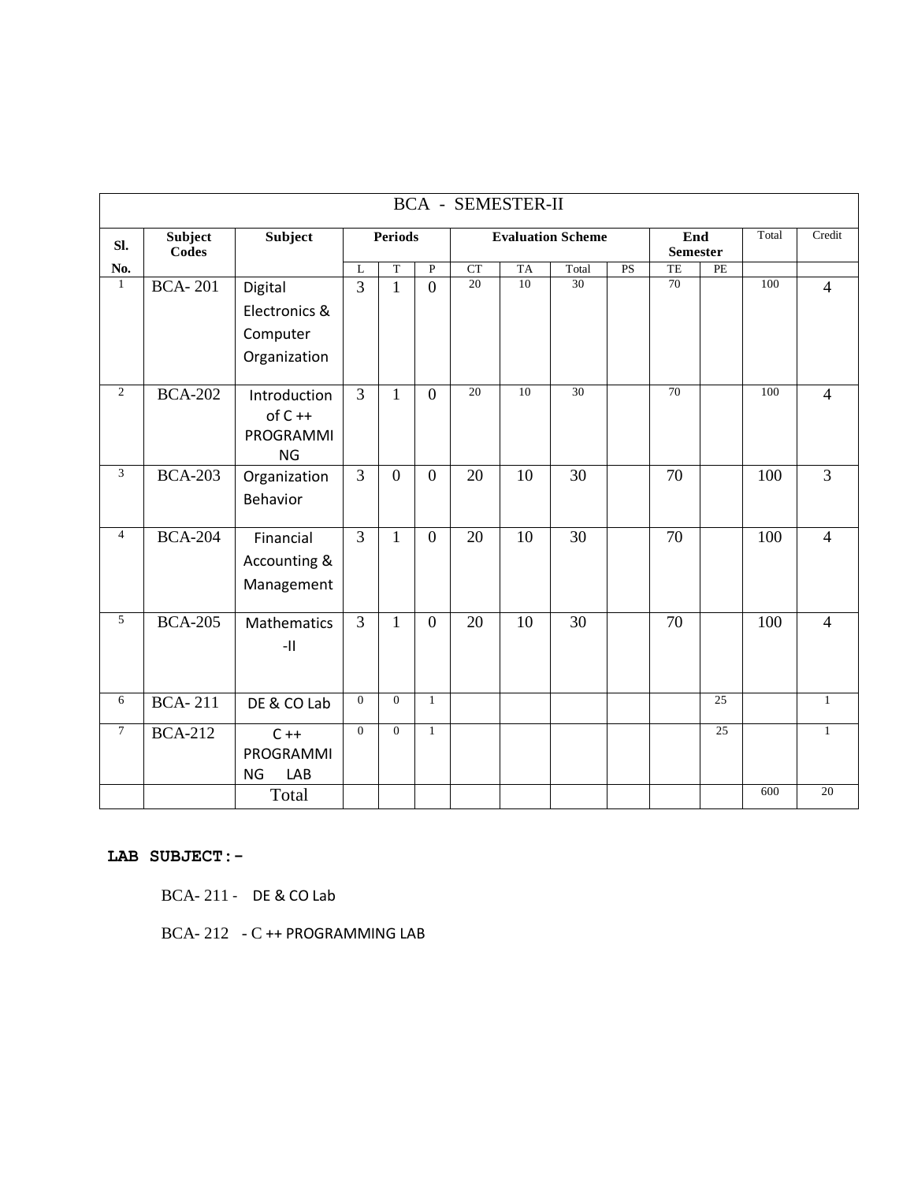| <b>BCA - SEMESTER-II</b> |                         |                                                    |                |                |                          |                 |    |                        |    |                 |                 |     |                |
|--------------------------|-------------------------|----------------------------------------------------|----------------|----------------|--------------------------|-----------------|----|------------------------|----|-----------------|-----------------|-----|----------------|
| SI.                      | Subject<br><b>Codes</b> | Subject                                            | <b>Periods</b> |                | <b>Evaluation Scheme</b> |                 |    | End<br><b>Semester</b> |    | Total           | Credit          |     |                |
| No.                      |                         |                                                    | L              | T              | $\mathbf P$              | CT              | TA | Total                  | PS | TE              | PE              |     |                |
| $\mathbf{1}$             | <b>BCA-201</b>          | Digital                                            | $\overline{3}$ | $\mathbf{1}$   | $\overline{0}$           | 20              | 10 | 30                     |    | 70              |                 | 100 | $\overline{4}$ |
|                          |                         | Electronics &                                      |                |                |                          |                 |    |                        |    |                 |                 |     |                |
|                          |                         | Computer                                           |                |                |                          |                 |    |                        |    |                 |                 |     |                |
|                          |                         | Organization                                       |                |                |                          |                 |    |                        |    |                 |                 |     |                |
| $\overline{2}$           | <b>BCA-202</b>          | Introduction<br>$of C++$<br>PROGRAMMI<br><b>NG</b> | $\overline{3}$ | $\mathbf{1}$   | $\overline{0}$           | $\overline{20}$ | 10 | $\overline{30}$        |    | $\overline{70}$ |                 | 100 | $\overline{4}$ |
| 3                        | <b>BCA-203</b>          | Organization<br><b>Behavior</b>                    | $\overline{3}$ | $\overline{0}$ | $\overline{0}$           | 20              | 10 | 30                     |    | 70              |                 | 100 | $\overline{3}$ |
| $\overline{4}$           | <b>BCA-204</b>          | Financial<br>Accounting &<br>Management            | $\overline{3}$ | $\mathbf{1}$   | $\overline{0}$           | 20              | 10 | 30                     |    | 70              |                 | 100 | $\overline{4}$ |
| 5                        | <b>BCA-205</b>          | <b>Mathematics</b><br>-11                          | $\overline{3}$ | $\mathbf{1}$   | $\overline{0}$           | 20              | 10 | 30                     |    | 70              |                 | 100 | $\overline{4}$ |
| 6                        | <b>BCA-211</b>          | DE & CO Lab                                        | $\overline{0}$ | $\mathbf{0}$   | $\mathbf{1}$             |                 |    |                        |    |                 | $\overline{25}$ |     | $\mathbf{1}$   |
| $\tau$                   | <b>BCA-212</b>          | $C + +$<br>PROGRAMMI<br><b>NG</b><br>LAB           | $\Omega$       | $\mathbf{0}$   | $\mathbf{1}$             |                 |    |                        |    |                 | $\overline{25}$ |     | $\mathbf{1}$   |
|                          |                         | Total                                              |                |                |                          |                 |    |                        |    |                 |                 | 600 | 20             |

#### **LAB SUBJECT:-**

BCA- 211 - DE & CO Lab

BCA- 212 - C ++ PROGRAMMING LAB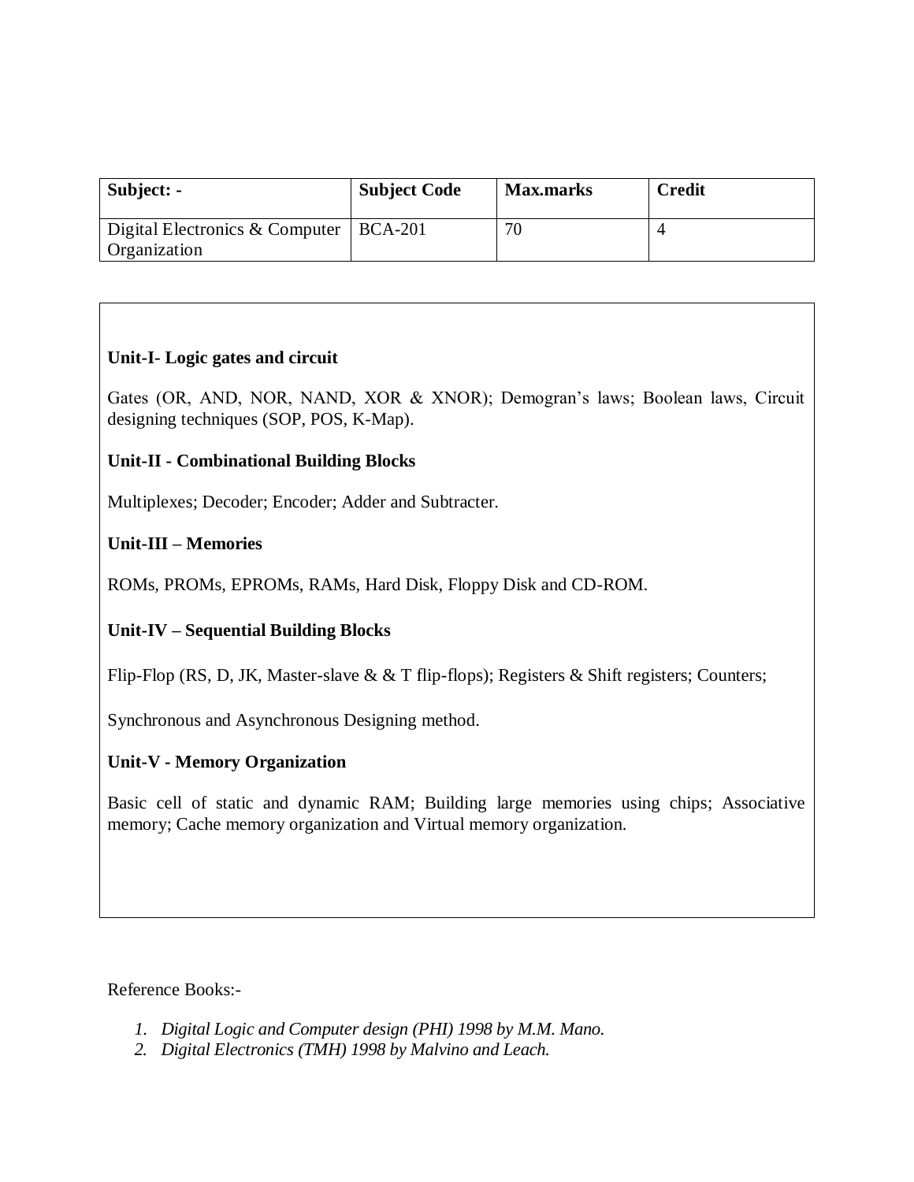| Subject: -                                     | <b>Subject Code</b> | <b>Max.marks</b> | <b>Credit</b> |
|------------------------------------------------|---------------------|------------------|---------------|
| Digital Electronics & Computer<br>Organization | $BCA-201$           | 70               |               |

### **Unit-I- Logic gates and circuit**

Gates (OR, AND, NOR, NAND, XOR & XNOR); Demogran's laws; Boolean laws, Circuit designing techniques (SOP, POS, K-Map).

### **Unit-II - Combinational Building Blocks**

Multiplexes; Decoder; Encoder; Adder and Subtracter.

### **Unit-III – Memories**

ROMs, PROMs, EPROMs, RAMs, Hard Disk, Floppy Disk and CD-ROM.

### **Unit-IV – Sequential Building Blocks**

Flip-Flop (RS, D, JK, Master-slave & & T flip-flops); Registers & Shift registers; Counters;

Synchronous and Asynchronous Designing method.

### **Unit-V - Memory Organization**

Basic cell of static and dynamic RAM; Building large memories using chips; Associative memory; Cache memory organization and Virtual memory organization.

Reference Books:-

- *1. Digital Logic and Computer design (PHI) 1998 by M.M. Mano.*
- *2. Digital Electronics (TMH) 1998 by Malvino and Leach.*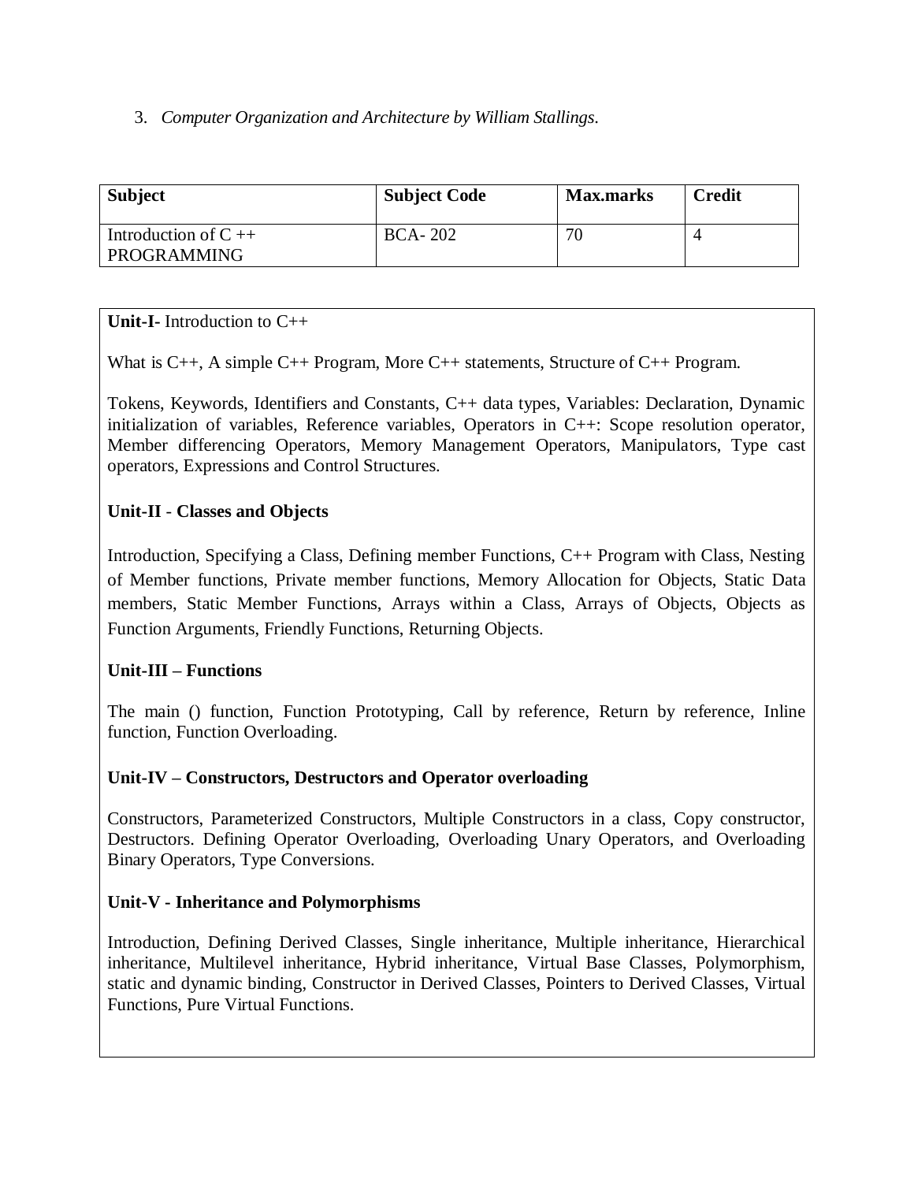#### 3. *Computer Organization and Architecture by William Stallings*.

| <b>Subject</b>                          | <b>Subject Code</b> | <b>Max.marks</b> | <b>Credit</b> |
|-----------------------------------------|---------------------|------------------|---------------|
| Introduction of $C_{++}$<br>PROGRAMMING | <b>BCA-202</b>      | 70               |               |

### **Unit-I-** Introduction to C++

What is C++, A simple C++ Program, More C++ statements, Structure of C++ Program.

Tokens, Keywords, Identifiers and Constants, C++ data types, Variables: Declaration, Dynamic initialization of variables, Reference variables, Operators in C++: Scope resolution operator, Member differencing Operators, Memory Management Operators, Manipulators, Type cast operators, Expressions and Control Structures.

### **Unit-II** - **Classes and Objects**

Introduction, Specifying a Class, Defining member Functions, C++ Program with Class, Nesting of Member functions, Private member functions, Memory Allocation for Objects, Static Data members, Static Member Functions, Arrays within a Class, Arrays of Objects, Objects as Function Arguments, Friendly Functions, Returning Objects.

### **Unit-III – Functions**

The main () function, Function Prototyping, Call by reference, Return by reference, Inline function, Function Overloading.

### **Unit-IV – Constructors, Destructors and Operator overloading**

Constructors, Parameterized Constructors, Multiple Constructors in a class, Copy constructor, Destructors. Defining Operator Overloading, Overloading Unary Operators, and Overloading Binary Operators, Type Conversions.

### **Unit-V - Inheritance and Polymorphisms**

Introduction, Defining Derived Classes, Single inheritance, Multiple inheritance, Hierarchical inheritance, Multilevel inheritance, Hybrid inheritance, Virtual Base Classes, Polymorphism, static and dynamic binding, Constructor in Derived Classes, Pointers to Derived Classes, Virtual Functions, Pure Virtual Functions.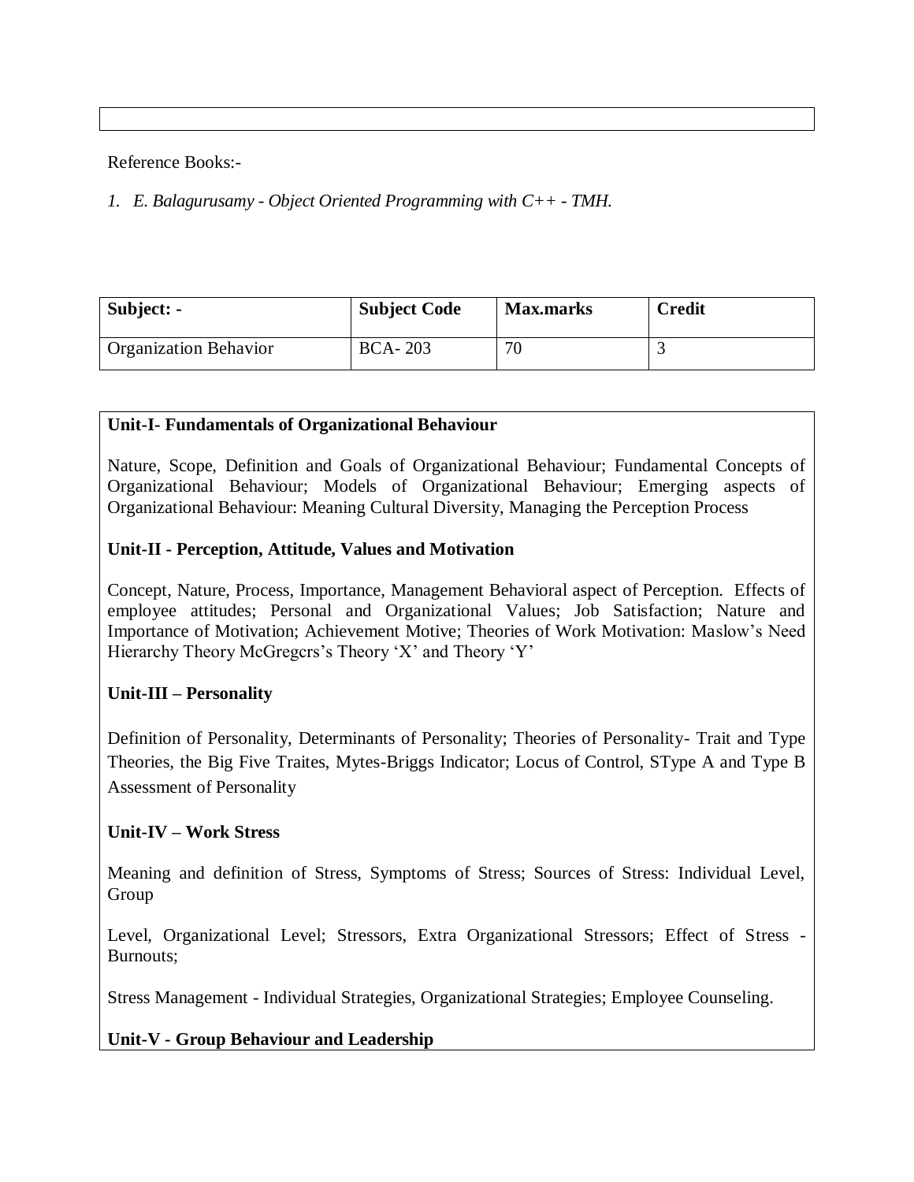Reference Books:-

*1. E. Balagurusamy - Object Oriented Programming with C++ - TMH.*

| Subject: -                   | <b>Subject Code</b> | <b>Max.marks</b> | <b>Credit</b> |
|------------------------------|---------------------|------------------|---------------|
| <b>Organization Behavior</b> | <b>BCA-203</b>      | 70               |               |

### **Unit-I- Fundamentals of Organizational Behaviour**

Nature, Scope, Definition and Goals of Organizational Behaviour; Fundamental Concepts of Organizational Behaviour; Models of Organizational Behaviour; Emerging aspects of Organizational Behaviour: Meaning Cultural Diversity, Managing the Perception Process

#### **Unit-II - Perception, Attitude, Values and Motivation**

Concept, Nature, Process, Importance, Management Behavioral aspect of Perception. Effects of employee attitudes; Personal and Organizational Values; Job Satisfaction; Nature and Importance of Motivation; Achievement Motive; Theories of Work Motivation: Maslow's Need Hierarchy Theory McGregcrs's Theory 'X' and Theory 'Y'

### **Unit-III – Personality**

Definition of Personality, Determinants of Personality; Theories of Personality- Trait and Type Theories, the Big Five Traites, Mytes-Briggs Indicator; Locus of Control, SType A and Type B Assessment of Personality

### **Unit-IV – Work Stress**

Meaning and definition of Stress, Symptoms of Stress; Sources of Stress: Individual Level, Group

Level, Organizational Level; Stressors, Extra Organizational Stressors; Effect of Stress - Burnouts;

Stress Management - Individual Strategies, Organizational Strategies; Employee Counseling.

**Unit-V - Group Behaviour and Leadership**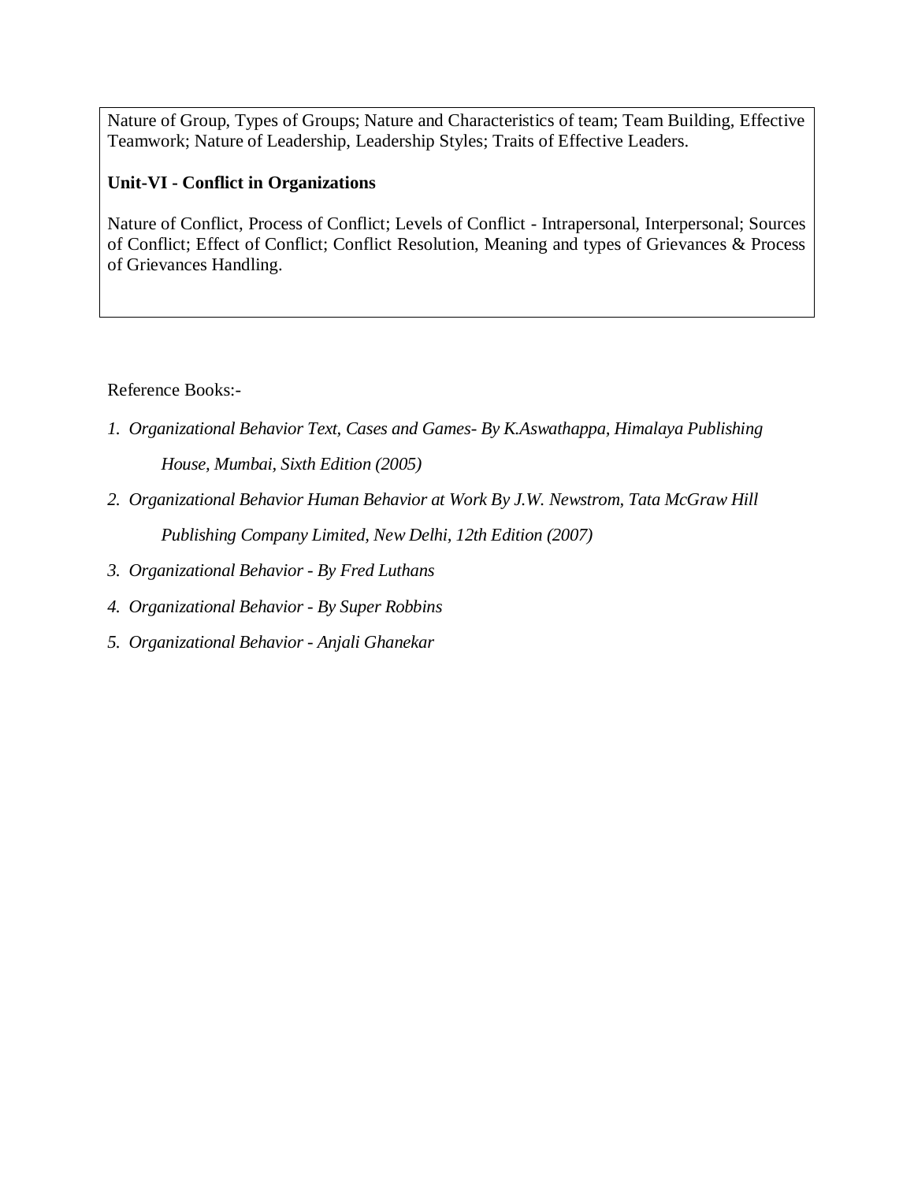Nature of Group, Types of Groups; Nature and Characteristics of team; Team Building, Effective Teamwork; Nature of Leadership, Leadership Styles; Traits of Effective Leaders.

#### **Unit-VI - Conflict in Organizations**

Nature of Conflict, Process of Conflict; Levels of Conflict - Intrapersonal, Interpersonal; Sources of Conflict; Effect of Conflict; Conflict Resolution, Meaning and types of Grievances & Process of Grievances Handling.

Reference Books:-

- *1. Organizational Behavior Text, Cases and Games- By K.Aswathappa, Himalaya Publishing House, Mumbai, Sixth Edition (2005)*
- *2. Organizational Behavior Human Behavior at Work By J.W. Newstrom, Tata McGraw Hill Publishing Company Limited, New Delhi, 12th Edition (2007)*
- *3. Organizational Behavior - By Fred Luthans*
- *4. Organizational Behavior - By Super Robbins*
- *5. Organizational Behavior - Anjali Ghanekar*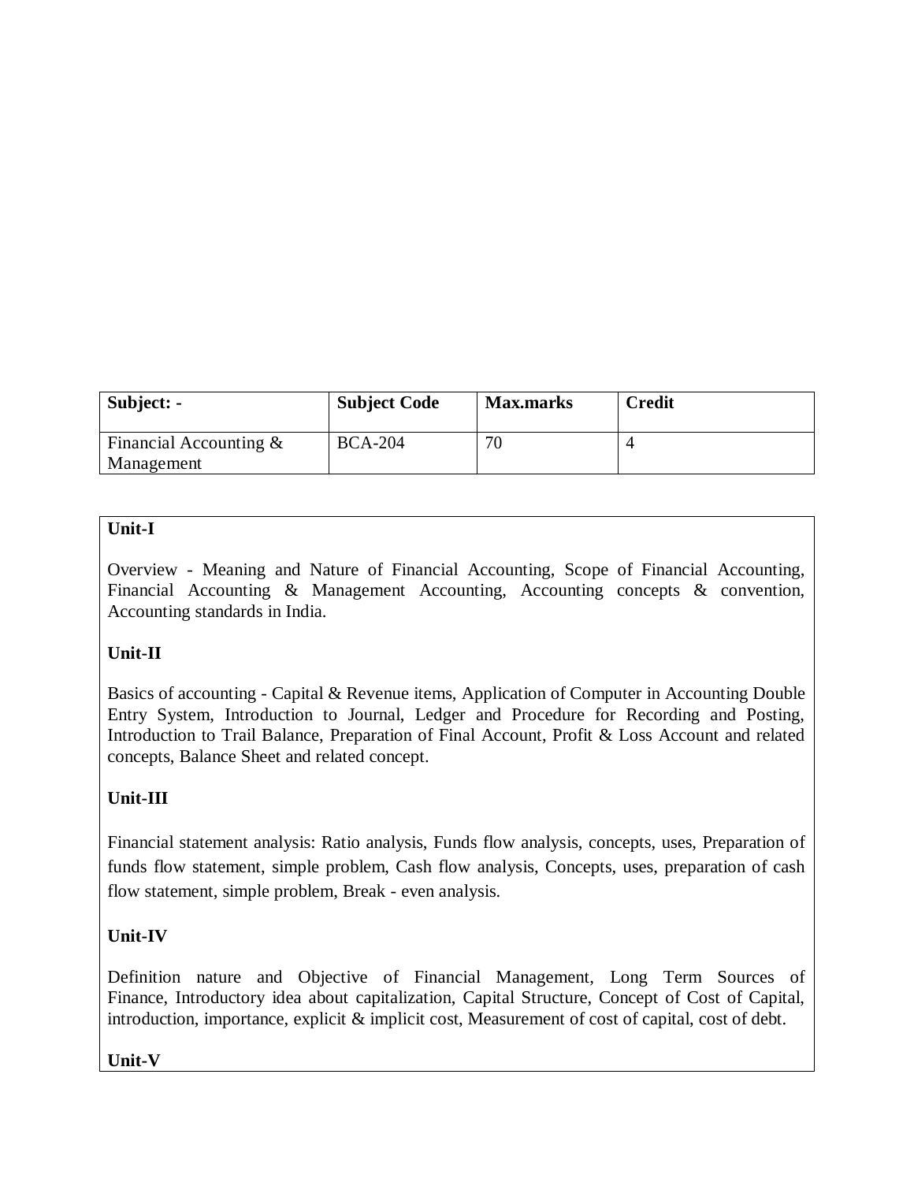| Subject: -                              | <b>Subject Code</b> | <b>Max.marks</b> | <b>Credit</b> |
|-----------------------------------------|---------------------|------------------|---------------|
| Financial Accounting $\&$<br>Management | <b>BCA-204</b>      | 70               |               |

### **Unit-I**

Overview - Meaning and Nature of Financial Accounting, Scope of Financial Accounting, Financial Accounting & Management Accounting, Accounting concepts & convention, Accounting standards in India.

# **Unit-II**

Basics of accounting - Capital & Revenue items, Application of Computer in Accounting Double Entry System, Introduction to Journal, Ledger and Procedure for Recording and Posting, Introduction to Trail Balance, Preparation of Final Account, Profit & Loss Account and related concepts, Balance Sheet and related concept.

# **Unit-III**

Financial statement analysis: Ratio analysis, Funds flow analysis, concepts, uses, Preparation of funds flow statement, simple problem, Cash flow analysis, Concepts, uses, preparation of cash flow statement, simple problem, Break - even analysis.

# **Unit-IV**

Definition nature and Objective of Financial Management, Long Term Sources of Finance, Introductory idea about capitalization, Capital Structure, Concept of Cost of Capital, introduction, importance, explicit & implicit cost, Measurement of cost of capital, cost of debt.

**Unit-V**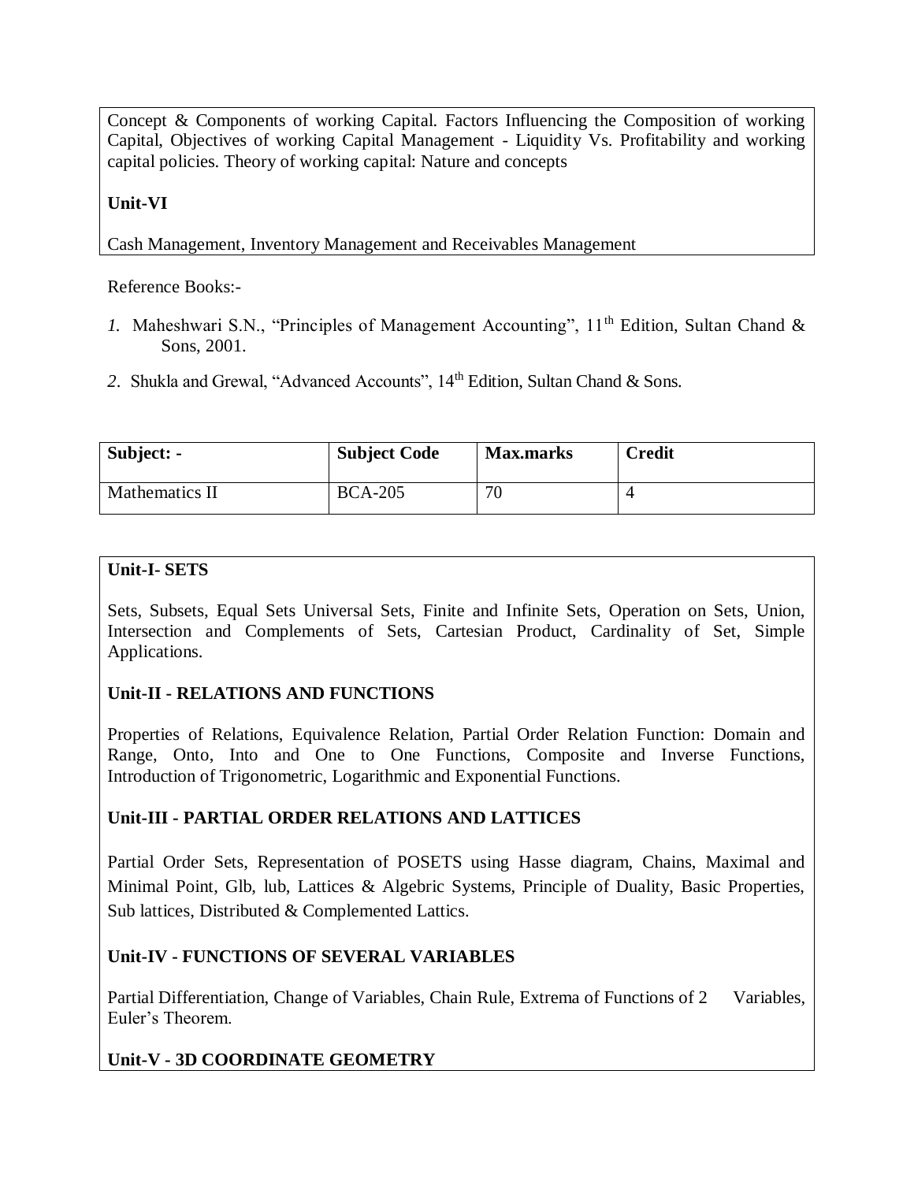Concept & Components of working Capital. Factors Influencing the Composition of working Capital, Objectives of working Capital Management - Liquidity Vs. Profitability and working capital policies. Theory of working capital: Nature and concepts

### **Unit-VI**

Cash Management, Inventory Management and Receivables Management

Reference Books:-

- *1.* Maheshwari S.N., "Principles of Management Accounting", 11<sup>th</sup> Edition, Sultan Chand & Sons, 2001.
- 2. Shukla and Grewal, "Advanced Accounts", 14<sup>th</sup> Edition, Sultan Chand & Sons.

| Subject: -     | <b>Subject Code</b> | <b>Max.marks</b> | <b>Credit</b> |
|----------------|---------------------|------------------|---------------|
| Mathematics II | <b>BCA-205</b>      | 70               |               |

### **Unit-I- SETS**

Sets, Subsets, Equal Sets Universal Sets, Finite and Infinite Sets, Operation on Sets, Union, Intersection and Complements of Sets, Cartesian Product, Cardinality of Set, Simple Applications.

# **Unit-II - RELATIONS AND FUNCTIONS**

Properties of Relations, Equivalence Relation, Partial Order Relation Function: Domain and Range, Onto, Into and One to One Functions, Composite and Inverse Functions, Introduction of Trigonometric, Logarithmic and Exponential Functions.

# **Unit-III - PARTIAL ORDER RELATIONS AND LATTICES**

Partial Order Sets, Representation of POSETS using Hasse diagram, Chains, Maximal and Minimal Point, Glb, lub, Lattices & Algebric Systems, Principle of Duality, Basic Properties, Sub lattices, Distributed & Complemented Lattics.

# **Unit-IV - FUNCTIONS OF SEVERAL VARIABLES**

Partial Differentiation, Change of Variables, Chain Rule, Extrema of Functions of 2 Variables, Euler's Theorem.

# **Unit-V - 3D COORDINATE GEOMETRY**